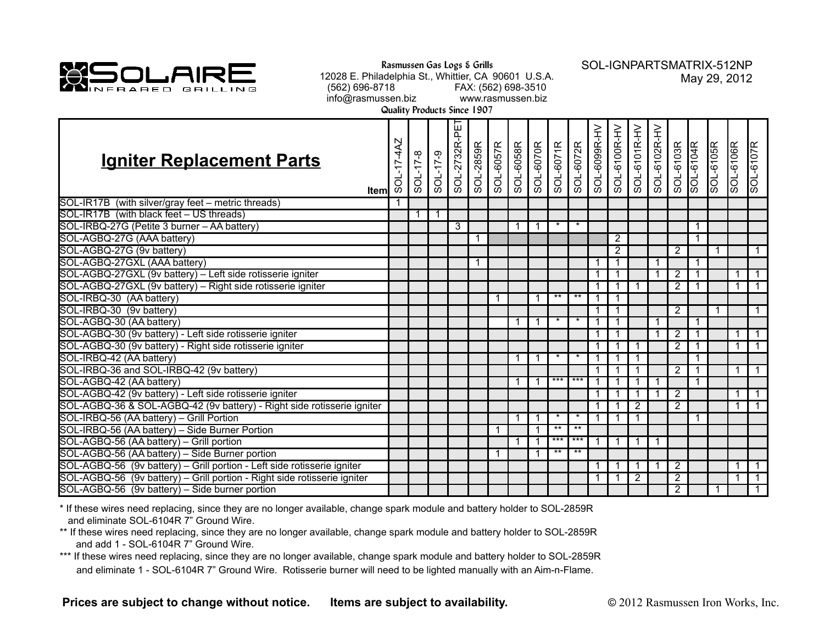

**Rasmussen Gas Logs & Grills**

12028 E. Philadelphia St., Whittier, CA 90601 U.S.A. (562) 696-8718 FAX: (562) 698-3510 info@rasmussen.biz www.rasmussen.biz

SOL-IGNPARTSMATRIX-512NP May 29, 2012

**Quality Products Since 1907**

| <b>Igniter Replacement Parts</b><br>Iteml                                | $-17-4AZ$<br>$rac{1}{5}$ | $8 - 11 - 108$ | SOL-17-9 | SOL-2732R-PET | SOL-2859R |   |   |         |       | SOL-6057R<br>SOL-6070R<br>SOL-6071R<br>SOL-6072R<br>SOL-6099R-HV<br>SOL-6100R-HV<br>SOL-6100R-HV |                | SOL-6101R-HV   | SOL-6102R-HV | SOL-6103R      | SOL-6104R | SOL-6105R | SOL-6106R | SOL-6107R      |
|--------------------------------------------------------------------------|--------------------------|----------------|----------|---------------|-----------|---|---|---------|-------|--------------------------------------------------------------------------------------------------|----------------|----------------|--------------|----------------|-----------|-----------|-----------|----------------|
| SOL-IR17B (with silver/gray feet - metric threads)                       |                          |                |          |               |           |   |   |         |       |                                                                                                  |                |                |              |                |           |           |           |                |
| SOL-IR17B (with black feet - US threads)                                 |                          |                | 1        |               |           |   |   |         |       |                                                                                                  |                |                |              |                |           |           |           |                |
| SOL-IRBQ-27G (Petite 3 burner - AA battery)                              |                          |                |          | 3             |           |   |   |         |       |                                                                                                  |                |                |              |                |           |           |           |                |
| SOL-AGBQ-27G (AAA battery)                                               |                          |                |          |               |           |   |   |         |       |                                                                                                  | 2              |                |              |                | 1         |           |           |                |
| SOL-AGBQ-27G (9v battery)                                                |                          |                |          |               |           |   |   |         |       |                                                                                                  | $\overline{2}$ |                |              | 2              |           | 1         |           | $\mathbf{1}$   |
| SOL-AGBQ-27GXL (AAA battery)                                             |                          |                |          |               |           |   |   |         |       |                                                                                                  | 1              |                |              |                | 1         |           |           |                |
| SOL-AGBQ-27GXL (9v battery) - Left side rotisserie igniter               |                          |                |          |               |           |   |   |         |       |                                                                                                  |                |                |              | $\overline{2}$ |           |           |           | $\mathbf{1}$   |
| SOL-AGBQ-27GXL (9v battery) - Right side rotisserie igniter              |                          |                |          |               |           |   |   |         |       |                                                                                                  |                |                |              | 2              |           |           |           | $\overline{1}$ |
| SOL-IRBQ-30 (AA battery)                                                 |                          |                |          |               |           |   | 1 | $***$   | $***$ |                                                                                                  | 1              |                |              |                |           |           |           |                |
| SOL-IRBQ-30 (9v battery)                                                 |                          |                |          |               |           |   |   |         |       |                                                                                                  | 1              |                |              | $\overline{2}$ |           | 1         |           | $\mathbf{1}$   |
| SOL-AGBQ-30 (AA battery)                                                 |                          |                |          |               |           |   |   | $\star$ |       |                                                                                                  |                |                |              |                |           |           |           |                |
| SOL-AGBQ-30 (9v battery) - Left side rotisserie igniter                  |                          |                |          |               |           |   |   |         |       |                                                                                                  | 1              |                |              | $\overline{2}$ |           |           |           | $\overline{1}$ |
| SOL-AGBQ-30 (9v battery) - Right side rotisserie igniter                 |                          |                |          |               |           |   |   |         |       |                                                                                                  |                |                |              | 2              |           |           |           | $\mathbf{1}$   |
| SOL-IRBQ-42 (AA battery)                                                 |                          |                |          |               |           |   |   |         |       |                                                                                                  |                |                |              |                |           |           |           |                |
| SOL-IRBQ-36 and SOL-IRBQ-42 (9v battery)                                 |                          |                |          |               |           |   |   |         |       |                                                                                                  | 1              |                |              | 2              |           |           |           | $\overline{1}$ |
| SOL-AGBQ-42 (AA battery)                                                 |                          |                |          |               |           | 1 | 1 | $***$   | $***$ |                                                                                                  |                |                |              |                |           |           |           |                |
| SOL-AGBQ-42 (9v battery) - Left side rotisserie igniter                  |                          |                |          |               |           |   |   |         |       |                                                                                                  |                |                |              | $\overline{2}$ |           |           | 1         | $\mathbf{1}$   |
| SOL-AGBQ-36 & SOL-AGBQ-42 (9v battery) - Right side rotisserie igniter   |                          |                |          |               |           |   |   |         |       |                                                                                                  |                | $\overline{2}$ |              | 2              |           |           | 1         | $\mathbf{1}$   |
| SOL-IRBQ-56 (AA battery) - Grill Portion                                 |                          |                |          |               |           |   | 1 | $\star$ |       |                                                                                                  |                |                |              |                |           |           |           |                |
| SOL-IRBQ-56 (AA battery) - Side Burner Portion                           |                          |                |          |               |           |   | 1 | $**$    | $**$  |                                                                                                  |                |                |              |                |           |           |           |                |
| SOL-AGBQ-56 (AA battery) - Grill portion                                 |                          |                |          |               |           |   | 1 | $***$   | $***$ |                                                                                                  | 1              | 1              | -1           |                |           |           |           |                |
| SOL-AGBQ-56 (AA battery) - Side Burner portion                           |                          |                |          |               |           |   |   | $***$   | $***$ |                                                                                                  |                |                |              |                |           |           |           |                |
| SOL-AGBQ-56 (9v battery) - Grill portion - Left side rotisserie igniter  |                          |                |          |               |           |   |   |         |       |                                                                                                  | 1              |                |              | $\overline{2}$ |           |           |           | $\overline{1}$ |
| SOL-AGBQ-56 (9v battery) - Grill portion - Right side rotisserie igniter |                          |                |          |               |           |   |   |         |       |                                                                                                  |                | 2              |              | $\overline{2}$ |           |           | 1         | $\overline{1}$ |
| SOL-AGBQ-56 (9v battery) - Side burner portion                           |                          |                |          |               |           |   |   |         |       |                                                                                                  |                |                |              | $\overline{2}$ |           | 1         |           | $\sqrt{1}$     |

\* If these wires need replacing, since they are no longer available, change spark module and battery holder to SOL-2859R and eliminate SOL-6104R 7" Ground Wire.

- \*\* If these wires need replacing, since they are no longer available, change spark module and battery holder to SOL-2859R and add 1 - SOL-6104R 7" Ground Wire.
- \*\*\* If these wires need replacing, since they are no longer available, change spark module and battery holder to SOL-2859R and eliminate 1 - SOL-6104R 7" Ground Wire. Rotisserie burner will need to be lighted manually with an Aim-n-Flame.